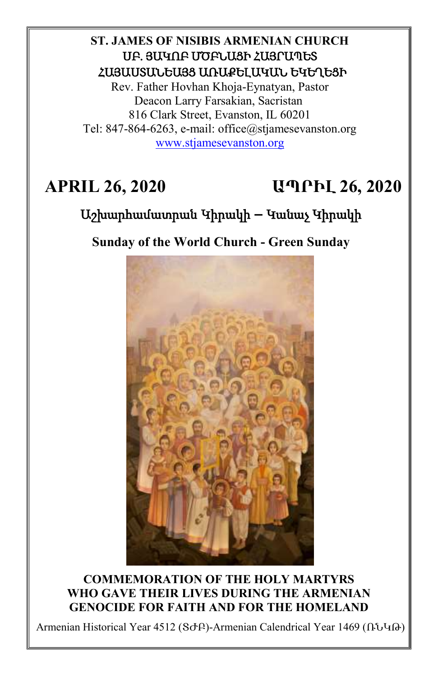# **ST. JAMES OF NISIBIS ARMENIAN CHURCH** ՍԲ. ՅԱԿՈԲ ՄԾԲՆԱՑԻ ՀԱՅՐԱՊԵՏ ՀԱՅԱՍՏԱՆԵԱՅՑ ԱՌԱՔԵԼԱԿԱՆ ԵԿԵՂԵՑԻ

Rev. Father Hovhan Khoja-Eynatyan, Pastor Deacon Larry Farsakian, Sacristan 816 Clark Street, Evanston, IL 60201 Tel: 847-864-6263, e-mail: office@stjamesevanston.org [www.stjamesevanston.org](http://www.stjamesevanston.org/)

# **APRIL 26, 2020 ԱՊՐԻԼ 26, 2020**

# Աշխարհամատրան Կիրակի **–** Կանաչ Կիրակի

**Sunday of the World Church - Green Sunday**



**COMMEMORATION OF THE HOLY MARTYRS WHO GAVE THEIR LIVES DURING THE ARMENIAN GENOCIDE FOR FAITH AND FOR THE HOMELAND**

Armenian Historical Year 4512 (ՏԺԲ)-Armenian Calendrical Year 1469 (ՌՆԿԹ)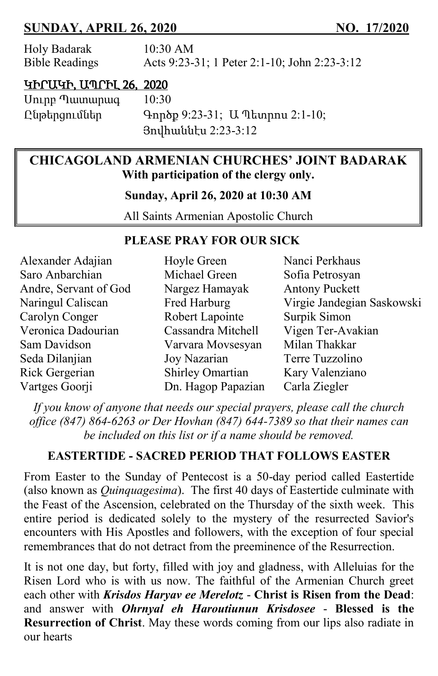# **SUNDAY, APRIL 26, 2020 NO. 17/2020**

| Holy Badarak          | 10:30 AM                                     |
|-----------------------|----------------------------------------------|
| <b>Bible Readings</b> | Acts 9:23-31; 1 Peter 2:1-10; John 2:23-3:12 |

#### ԿԻՐԱԿԻ, ԱՊՐԻԼ 26, 2020

Սուրբ Պատարագ 10:30

Ընթերցումներ Գործք 9:23-31; Ա Պետրոս 2:1-10; Յովհաննէս 2:23-3:12

## **CHICAGOLAND ARMENIAN CHURCHES' JOINT BADARAK With participation of the clergy only.**

**Sunday, April 26, 2020 at 10:30 AM**

All Saints Armenian Apostolic Church

#### **PLEASE PRAY FOR OUR SICK**

| Alexander Adajian     | Hoyle Green        | Nanci Perkhaus             |
|-----------------------|--------------------|----------------------------|
| Saro Anbarchian       | Michael Green      | Sofia Petrosyan            |
| Andre, Servant of God | Nargez Hamayak     | <b>Antony Puckett</b>      |
| Naringul Caliscan     | Fred Harburg       | Virgie Jandegian Saskowski |
| Carolyn Conger        | Robert Lapointe    | Surpik Simon               |
| Veronica Dadourian    | Cassandra Mitchell | Vigen Ter-Avakian          |
| Sam Davidson          | Varvara Movsesyan  | Milan Thakkar              |
| Seda Dilanjian        | Joy Nazarian       | Terre Tuzzolino            |
| Rick Gergerian        | Shirley Omartian   | Kary Valenziano            |
| Vartges Goorji        | Dn. Hagop Papazian | Carla Ziegler              |

*If you know of anyone that needs our special prayers, please call the church office (847) 864-6263 or Der Hovhan (847) 644-7389 so that their names can be included on this list or if a name should be removed.*

## **EASTERTIDE - SACRED PERIOD THAT FOLLOWS EASTER**

From Easter to the Sunday of Pentecost is a 50-day period called Eastertide (also known as *Quinquagesima*). The first 40 days of Eastertide culminate with the Feast of the Ascension, celebrated on the Thursday of the sixth week. This entire period is dedicated solely to the mystery of the resurrected Savior's encounters with His Apostles and followers, with the exception of four special remembrances that do not detract from the preeminence of the Resurrection.

It is not one day, but forty, filled with joy and gladness, with Alleluias for the Risen Lord who is with us now. The faithful of the Armenian Church greet each other with *Krisdos Haryav ee Merelotz* - **Christ is Risen from the Dead**: and answer with *Ohrnyal eh Haroutiunun Krisdosee* - **Blessed is the Resurrection of Christ**. May these words coming from our lips also radiate in our hearts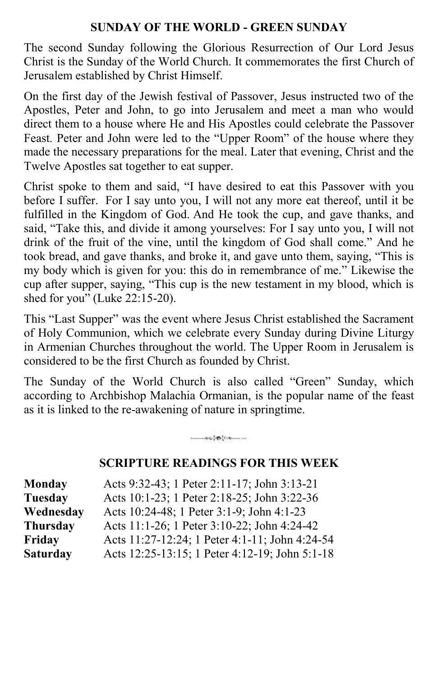#### **SUNDAY OF THE WORLD - GREEN SUNDAY**

The second Sunday following the Glorious Resurrection of Our Lord Jesus Christ is the Sunday of the World Church. It commemorates the first Church of Jerusalem established by Christ Himself.

On the first day of the Jewish festival of Passover, Jesus instructed two of the Apostles, Peter and John, to go into Jerusalem and meet a man who would direct them to a house where He and His Apostles could celebrate the Passover Feast. Peter and John were led to the "Upper Room" of the house where they made the necessary preparations for the meal. Later that evening, Christ and the Twelve Apostles sat together to eat supper.

Christ spoke to them and said, "I have desired to eat this Passover with you before I suffer. For I say unto you, I will not any more eat thereof, until it be fulfilled in the Kingdom of God. And He took the cup, and gave thanks, and said, "Take this, and divide it among yourselves: For I say unto you, I will not drink of the fruit of the vine, until the kingdom of God shall come." And he took bread, and gave thanks, and broke it, and gave unto them, saying, "This is my body which is given for you: this do in remembrance of me." Likewise the cup after supper, saying, "This cup is the new testament in my blood, which is shed for you" (Luke 22:15-20).

This "Last Supper" was the event where Jesus Christ established the Sacrament of Holy Communion, which we celebrate every Sunday during Divine Liturgy in Armenian Churches throughout the world. The Upper Room in Jerusalem is considered to be the first Church as founded by Christ.

The Sunday of the World Church is also called "Green" Sunday, which according to Archbishop Malachia Ormanian, is the popular name of the feast as it is linked to the re-awakening of nature in springtime.

#### **SCRIPTURE READINGS FOR THIS WEEK**

| Monday          | Acts 9:32-43; 1 Peter 2:11-17; John 3:13-21    |
|-----------------|------------------------------------------------|
| <b>Tuesday</b>  | Acts 10:1-23; 1 Peter 2:18-25; John 3:22-36    |
| Wednesday       | Acts 10:24-48; 1 Peter 3:1-9; John 4:1-23      |
| Thursday        | Acts 11:1-26; 1 Peter 3:10-22; John 4:24-42    |
| Friday          | Acts 11:27-12:24; 1 Peter 4:1-11; John 4:24-54 |
| <b>Saturday</b> | Acts 12:25-13:15; 1 Peter 4:12-19; John 5:1-18 |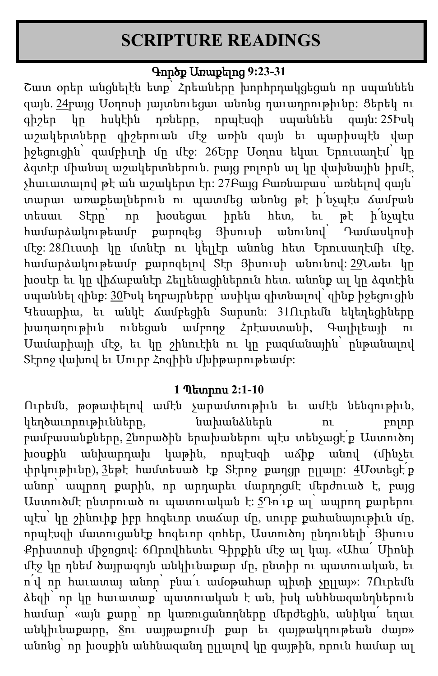# **SCRIPTURE READINGS**

# Գործք Առաքելոց **9:23-31**

Շատ օրեր անցնելէն ետք՝ Հրեաները խորհրդակցեցան որ սպաննեն զայն. [24](http://biblehub.com/acts/9-24.htm)բայց Սօղոսի յայտնուեցաւ անոնց դաւադրութիւնը: Ցերեկ ու գիշեր կը հսկէին դռները, որպէսզի սպաննեն զայն: [25](http://biblehub.com/acts/9-25.htm)Իսկ աշակերտները գիշերուան մէջ առին զայն եւ պարիսպէն վար իջեցուցին՝ զամբիւղի մը մէջ: [26](http://biblehub.com/acts/9-26.htm)Երբ Սօղոս եկաւ Երուսաղէմ՝ կը ձգտէր միանալ աշակերտներուն. բայց բոլորն ալ կը վախնային իրմէ, չհաւատալով թէ ան աշակերտ էր: [27](http://biblehub.com/acts/9-27.htm)Բայց Բառնաբաս՝ առնելով զայն՝ տարաւ առաքեալներուն ու պատմեց անոնց թէ ի՛նչպէս ճամբան տեսաւ Տէրը՝ որ խօսեցաւ իրեն հետ, եւ թէ ի՛նչպէս համարձակութեամբ քարոզեց Յիսուսի անունով՝ Դամասկոսի մէջ: [28](http://biblehub.com/acts/9-28.htm)Ուստի կը մտնէր ու կ՚ելլէր անոնց հետ Երուսաղէմի մէջ, համարձակութեամբ քարոզելով Տէր Յիսուսի անունով: [29](http://biblehub.com/acts/9-29.htm)Նաեւ կը խօսէր եւ կը վիճաբանէր Հելլենացիներուն հետ. անոնք ալ կը ձգտէին սպաննել զինք: [30](http://biblehub.com/acts/9-30.htm)Իսկ եղբայրները՝ ասիկա գիտնալով՝ զինք իջեցուցին Կեսարիա, եւ անկէ ճամբեցին Տարսոն: [31](http://biblehub.com/acts/9-31.htm)Ուրեմն եկեղեցիները խաղաղութիւն ունեցան ամբողջ Հրէաստանի, Գալիլեայի Սամարիայի մէջ, եւ կը շինուէին ու կը բազմանային՝ ընթանալով Տէրոջ վախով եւ Սուրբ Հոգիին մխիթարութեամբ:

## **1** Պետրոս **2:1-10**

Ուրեմն, թօթափելով ամէն չարամտութիւն եւ ամէն նենգութիւն, կեղծաւորութիւնները, նախանձներն ու բոլոր բամբասանքները, [2](http://biblehub.com/1_peter/2-2.htm)նորածին երախաներու պէս տենչացէ՛ք Աստուծոյ խօսքին անխարդախ կաթին, որպէսզի աճիք անով (մինչեւ փրկութիւնը), [3](http://biblehub.com/1_peter/2-3.htm)եթէ համտեսած էք Տէրոջ քաղցր ըլլալը։ <u>[4](http://biblehub.com/1_peter/2-4.htm)</u>Մօտեցէ՛ք անոր՝ ապրող քարին, որ արդարեւ մարդոցմէ մերժուած է, բայց Աստուծմէ ընտրուած ու պատուական է: [5](http://biblehub.com/1_peter/2-5.htm)Դո՛ւք ալ՝ ապրող քարերու պէս՝ կը շինուիք իբր հոգեւոր տաճար մը, սուրբ քահանայութիւն մը, որպէսզի մատուցանէք հոգեւոր զոհեր, Աստուծոյ ընդունելի՝ Յիսուս Քրիստոսի միջոցով: [6](http://biblehub.com/1_peter/2-6.htm)Որովհետեւ Գիրքին մէջ ալ կայ. «Ահա՛ Սիոնի մէջ կը դնեմ ծայրագոյն անկիւնաքար մը, ընտիր ու պատուական, եւ ո՛վ որ հաւատայ անոր՝ բնա՛ւ ամօթահար պիտի չըլլայ»: [7](http://biblehub.com/1_peter/2-7.htm)Ուրեմն ձեզի՝ որ կը հաւատաք՝ պատուական է ան, իսկ անհնազանդներուն համար՝ «այն քարը՝ որ կառուցանողները մերժեցին, անիկա՛ եղաւ անկիւնաքարը, <u>[8](http://biblehub.com/1_peter/2-8.htm)</u>ու սայթաքումի քար եւ գայթակղութեան ժայռ» անոնց՝ որ խօսքին անհնազանդ ըլլալով կը գայթին, որուն համար ալ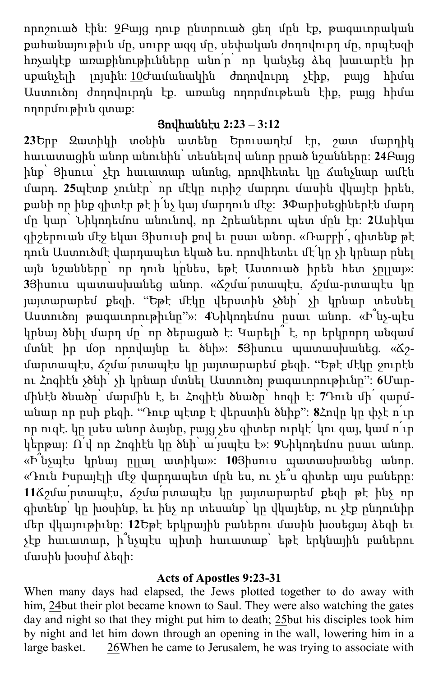որոշուած էին: [9](http://biblehub.com/1_peter/2-9.htm)Բայց դուք ընտրուած ցեղ մըն էք, թագաւորական քահանայութիւն մը, սուրբ ազգ մը, սեփական ժողովուրդ մը, որպէսզի հռչակէք առաքինութիւնները անո՛ր՝ որ կանչեց ձեզ խաւարէն իր սքանչելի լոյսին: [10](http://biblehub.com/1_peter/2-10.htm)Ժամանակին ժողովուրդ չէիք, բայց հիմա Աստուծոյ ժողովուրդն էք. առանց ողորմութեան էիք, բայց հիմա ողորմութիւն գտաք:

# Յովհաննէս **2:23 – 3:12**

**23**Երբ Զատիկի տօնին ատենը Երուսաղէմ էր, շատ մարդիկ հաւատացին անոր անունին՝ տեսնելով անոր ըրած նշանները: **24**Բայց ինք՝ Յիսուս՝ չէր հաւատար անոնց, որովհետեւ կը ճանչնար ամէն մարդ. **25**պէտք չունէր՝ որ մէկը ուրիշ մարդու մասին վկայէր իրեն, քանի որ ինք գիտէր թէ ի՛նչ կայ մարդուն մէջ: **3**Փարիսեցիներէն մարդ մը կար՝ Նիկոդեմոս անունով, որ Հրեաներու պետ մըն էր: **2**Ասիկա գիշերուան մէջ եկաւ Յիսուսի քով եւ ըսաւ անոր. «Ռաբբի՛, գիտենք թէ դուն Աստուծմէ վարդապետ եկած ես. որովհետեւ մէ՛կը չի կրնար ընել այն նշանները՝ որ դուն կրնես, եթէ Աստուած իրեն հետ չըլլայ»: **3**Յիսուս պատասխանեց անոր. «Ճշմա՛րտապէս, ճշմա-րտապէս կը յայտարարեմ քեզի. "Եթէ մէկը վերստին չծնի՝ չի կրնար տեսնել Աստուծոյ թագաւորութիւնը"»: **4**Նիկոդեմոս ըսաւ անոր. «Ի՞նչ-պէս կրնայ ծնիլ մարդ մը՝ որ ծերացած է: Կարելի՞ է, որ երկրորդ անգամ մտնէ իր մօր որովայնը եւ ծնի»: **5**Յիսուս պատասխանեց. «Ճշմարտապէս, ճշմա՛րտապէս կը յայտարարեմ քեզի. "Եթէ մէկը ջուրէն ու Հոգիէն չծնի՝ չի կրնար մտնել Աստուծոյ թագաւորութիւնը": **6**Մարմինէն ծնածը՝ մարմին է, եւ Հոգիէն ծնածը՝ հոգի է: **7**Դուն մի՛ զարմանար որ ըսի քեզի. "Դուք պէտք է վերստին ծնիք": **8**Հովը կը փչէ ո՛ւր որ ուզէ. կը լսես անոր ձայնը, բայց չես գիտեր ուրկէ՛ կու գայ, կամ ո՛ւր կ՚երթայ: Ո՛վ որ Հոգիէն կը ծնի՝ ա՛յսպէս է»: **9**Նիկոդեմոս ըսաւ անոր. «Ի՞նչպէս կրնայ ըլլալ ատիկա»: **10**Յիսուս պատասխանեց անոր. «Դուն Իսրայէլի մէջ վարդապետ մըն ես, ու չե՞ս գիտեր այս բաները: **11**Ճշմա՛րտապէս, ճշմա՛րտապէս կը յայտարարեմ քեզի թէ ինչ որ գիտենք՝ կը խօսինք, եւ ինչ որ տեսանք՝ կը վկայենք, ու չէք ընդունիր մեր վկայութիւնը: **12**Եթէ երկրային բաներու մասին խօսեցայ ձեզի եւ չէք հաւատար, ի՞նչպէս պիտի հաւատաք՝ եթէ երկնային բաներու մասին խօսիմ ձեզի:

## **Acts of Apostles 9:23-31**

When many days had elapsed, the Jews plotted together to do away with him, [24b](http://biblehub.com/acts/9-24.htm)ut their plot became known to Saul. They were also watching the gates day and night so that they might put him to death; [25b](http://biblehub.com/acts/9-25.htm)ut his disciples took him by night and let him down through an opening in the wall, lowering him in a large basket. [26W](http://biblehub.com/acts/9-26.htm)hen he came to Jerusalem, he was trying to associate with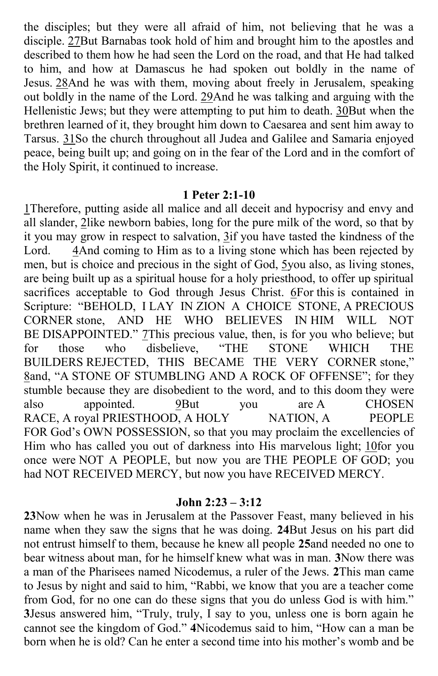the disciples; but they were all afraid of him, not believing that he was a disciple. [27B](http://biblehub.com/acts/9-27.htm)ut Barnabas took hold of him and brought him to the apostles and described to them how he had seen the Lord on the road, and that He had talked to him, and how at Damascus he had spoken out boldly in the name of Jesus. [28A](http://biblehub.com/acts/9-28.htm)nd he was with them, moving about freely in Jerusalem, speaking out boldly in the name of the Lord. [29A](http://biblehub.com/acts/9-29.htm)nd he was talking and arguing with the Hellenistic Jews; but they were attempting to put him to death. [30B](http://biblehub.com/acts/9-30.htm)ut when the brethren learned of it, they brought him down to Caesarea and sent him away to Tarsus. [31S](http://biblehub.com/acts/9-31.htm)o the church throughout all Judea and Galilee and Samaria enjoyed peace, being built up; and going on in the fear of the Lord and in the comfort of the Holy Spirit, it continued to increase.

#### **1 Peter 2:1-10**

[1T](http://biblehub.com/1_peter/2-1.htm)herefore, putting aside all malice and all deceit and hypocrisy and envy and all slander, [2l](http://biblehub.com/1_peter/2-2.htm)ike newborn babies, long for the pure milk of the word, so that by it you may grow in respect to salvation, [3i](http://biblehub.com/1_peter/2-3.htm)f you have tasted the kindness of the Lord. [4A](http://biblehub.com/1_peter/2-4.htm)nd coming to Him as to a living stone which has been rejected by men, but is choice and precious in the sight of God, [5y](http://biblehub.com/1_peter/2-5.htm)ou also, as living stones, are being built up as a spiritual house for a holy priesthood, to offer up spiritual sacrifices acceptable to God through Jesus Christ. [6F](http://biblehub.com/1_peter/2-6.htm)or this is contained in Scripture: "BEHOLD, I LAY IN ZION A CHOICE STONE, A PRECIOUS CORNER stone, AND HE WHO BELIEVES IN HIM WILL NOT BE DISAPPOINTED." This precious value, then, is for you who believe; but<br>for those who disbelieve, "THE STONE WHICH THE for those who disbelieve, "THE STONE WHICH THE BUILDERS REJECTED, THIS BECAME THE VERY CORNER stone," [8](http://biblehub.com/1_peter/2-8.htm)and, "A STONE OF STUMBLING AND A ROCK OF OFFENSE"; for they stumble because they are disobedient to the word, and to this doom they were also appointed. [9B](http://biblehub.com/1_peter/2-9.htm)ut you are A CHOSEN RACE, A royal PRIESTHOOD, A HOLY NATION, A PEOPLE FOR God's OWN POSSESSION, so that you may proclaim the excellencies of Him who has called you out of darkness into His marvelous light; [10f](http://biblehub.com/1_peter/2-10.htm)or you once were NOT A PEOPLE, but now you are THE PEOPLE OF GOD; you had NOT RECEIVED MERCY, but now you have RECEIVED MERCY.

#### **John 2:23 – 3:12**

**23**Now when he was in Jerusalem at the Passover Feast, many believed in his name when they saw the signs that he was doing. **24**But Jesus on his part did not entrust himself to them, because he knew all people **25**and needed no one to bear witness about man, for he himself knew what was in man. **3**Now there was a man of the Pharisees named Nicodemus, a ruler of the Jews. **2**This man came to Jesus by night and said to him, "Rabbi, we know that you are a teacher come from God, for no one can do these signs that you do unless God is with him." **3**Jesus answered him, "Truly, truly, I say to you, unless one is born again he cannot see the kingdom of God." **4**Nicodemus said to him, "How can a man be born when he is old? Can he enter a second time into his mother's womb and be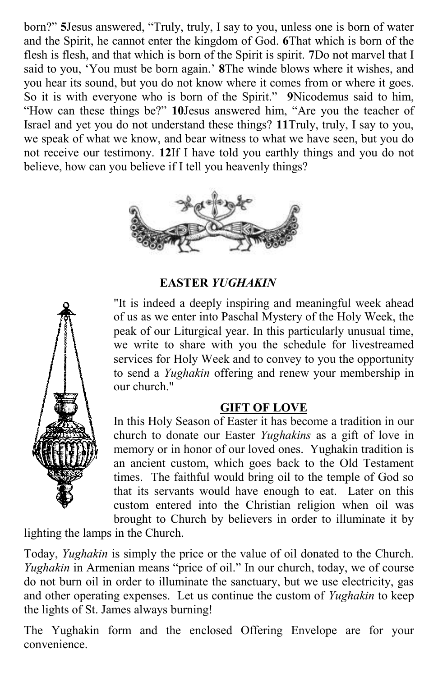born?" **5**Jesus answered, "Truly, truly, I say to you, unless one is born of water and the Spirit, he cannot enter the kingdom of God. **6**That which is born of the flesh is flesh, and that which is born of the Spirit is spirit. **7**Do not marvel that I said to you, 'You must be born again.' **8**The winde blows where it wishes, and you hear its sound, but you do not know where it comes from or where it goes. So it is with everyone who is born of the Spirit." **9**Nicodemus said to him, "How can these things be?" **10**Jesus answered him, "Are you the teacher of Israel and yet you do not understand these things? **11**Truly, truly, I say to you, we speak of what we know, and bear witness to what we have seen, but you do not receive our testimony. **12**If I have told you earthly things and you do not believe, how can you believe if I tell you heavenly things?



#### **EASTER** *YUGHAKIN*

"It is indeed a deeply inspiring and meaningful week ahead of us as we enter into Paschal Mystery of the Holy Week, the peak of our Liturgical year. In this particularly unusual time, we write to share with you the schedule for livestreamed services for Holy Week and to convey to you the opportunity to send a *Yughakin* offering and renew your membership in our church."

#### **GIFT OF LOVE**

In this Holy Season of Easter it has become a tradition in our church to donate our Easter *Yughakins* as a gift of love in memory or in honor of our loved ones. Yughakin tradition is an ancient custom, which goes back to the Old Testament times. The faithful would bring oil to the temple of God so that its servants would have enough to eat. Later on this custom entered into the Christian religion when oil was brought to Church by believers in order to illuminate it by

lighting the lamps in the Church.

Today, *Yughakin* is simply the price or the value of oil donated to the Church. *Yughakin* in Armenian means "price of oil." In our church, today, we of course do not burn oil in order to illuminate the sanctuary, but we use electricity, gas and other operating expenses. Let us continue the custom of *Yughakin* to keep the lights of St. James always burning!

The Yughakin form and the enclosed Offering Envelope are for your convenience.